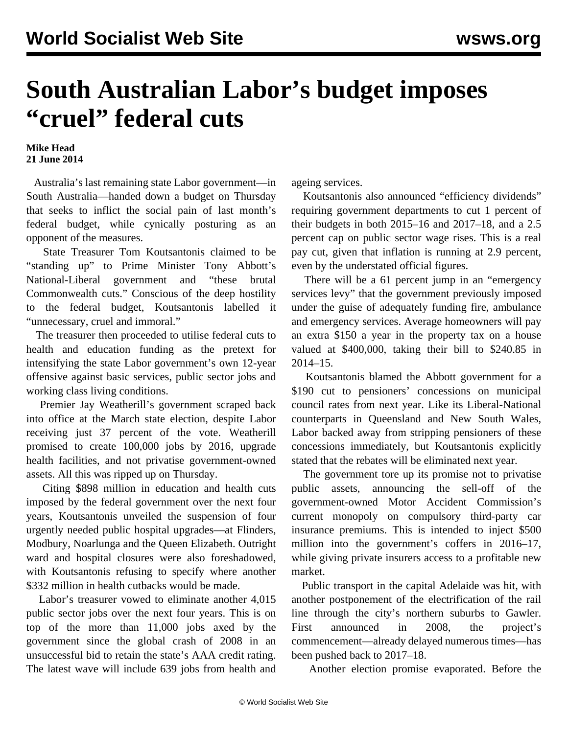## **South Australian Labor's budget imposes "cruel" federal cuts**

## **Mike Head 21 June 2014**

 Australia's last remaining state Labor government—in South Australia—handed down a budget on Thursday that seeks to inflict the social pain of last month's federal budget, while cynically posturing as an opponent of the measures.

 State Treasurer Tom Koutsantonis claimed to be "standing up" to Prime Minister Tony Abbott's National-Liberal government and "these brutal Commonwealth cuts." Conscious of the deep hostility to the federal budget, Koutsantonis labelled it "unnecessary, cruel and immoral."

 The treasurer then proceeded to utilise federal cuts to health and education funding as the pretext for intensifying the state Labor government's own 12-year offensive against basic services, public sector jobs and working class living conditions.

 Premier Jay Weatherill's government scraped back into office at the March state election, despite Labor receiving just 37 percent of the vote. Weatherill promised to create 100,000 jobs by 2016, upgrade health facilities, and not privatise government-owned assets. All this was ripped up on Thursday.

 Citing \$898 million in education and health cuts imposed by the federal government over the next four years, Koutsantonis unveiled the suspension of four urgently needed public hospital upgrades—at Flinders, Modbury, Noarlunga and the Queen Elizabeth. Outright ward and hospital closures were also foreshadowed, with Koutsantonis refusing to specify where another \$332 million in health cutbacks would be made.

 Labor's treasurer vowed to eliminate another 4,015 public sector jobs over the next four years. This is on top of the more than 11,000 jobs axed by the government since the global crash of 2008 in an unsuccessful bid to retain the state's AAA credit rating. The latest wave will include 639 jobs from health and ageing services.

 Koutsantonis also announced "efficiency dividends" requiring government departments to cut 1 percent of their budgets in both 2015–16 and 2017–18, and a 2.5 percent cap on public sector wage rises. This is a real pay cut, given that inflation is running at 2.9 percent, even by the understated official figures.

 There will be a 61 percent jump in an "emergency services levy" that the government previously imposed under the guise of adequately funding fire, ambulance and emergency services. Average homeowners will pay an extra \$150 a year in the property tax on a house valued at \$400,000, taking their bill to \$240.85 in 2014–15.

 Koutsantonis blamed the Abbott government for a \$190 cut to pensioners' concessions on municipal council rates from next year. Like its Liberal-National counterparts in Queensland and New South Wales, Labor backed away from stripping pensioners of these concessions immediately, but Koutsantonis explicitly stated that the rebates will be eliminated next year.

 The government tore up its promise not to privatise public assets, announcing the sell-off of the government-owned Motor Accident Commission's current monopoly on compulsory third-party car insurance premiums. This is intended to inject \$500 million into the government's coffers in 2016–17, while giving private insurers access to a profitable new market.

 Public transport in the capital Adelaide was hit, with another postponement of the electrification of the rail line through the city's northern suburbs to Gawler. First announced in 2008, the project's commencement—already delayed numerous times—has been pushed back to 2017–18.

Another election promise evaporated. Before the